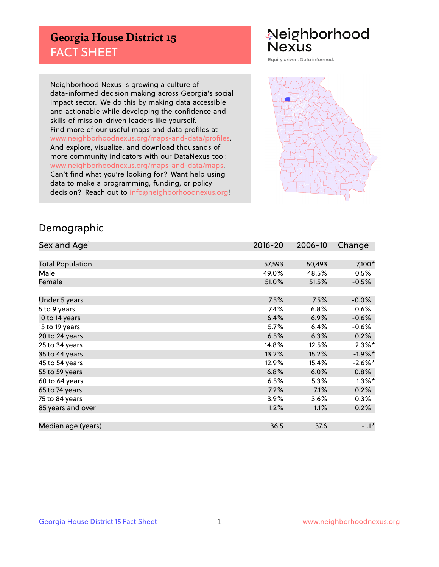## **Georgia House District 15** FACT SHEET

# Neighborhood<br>Nexus

Equity driven. Data informed.

Neighborhood Nexus is growing a culture of data-informed decision making across Georgia's social impact sector. We do this by making data accessible and actionable while developing the confidence and skills of mission-driven leaders like yourself. Find more of our useful maps and data profiles at www.neighborhoodnexus.org/maps-and-data/profiles. And explore, visualize, and download thousands of more community indicators with our DataNexus tool: www.neighborhoodnexus.org/maps-and-data/maps. Can't find what you're looking for? Want help using data to make a programming, funding, or policy decision? Reach out to [info@neighborhoodnexus.org!](mailto:info@neighborhoodnexus.org)



### Demographic

| Sex and Age <sup>1</sup> | $2016 - 20$ | 2006-10 | Change               |
|--------------------------|-------------|---------|----------------------|
|                          |             |         |                      |
| <b>Total Population</b>  | 57,593      | 50,493  | 7,100*               |
| Male                     | 49.0%       | 48.5%   | 0.5%                 |
| Female                   | 51.0%       | 51.5%   | $-0.5%$              |
|                          |             |         |                      |
| Under 5 years            | 7.5%        | 7.5%    | $-0.0%$              |
| 5 to 9 years             | 7.4%        | 6.8%    | 0.6%                 |
| 10 to 14 years           | 6.4%        | 6.9%    | $-0.6%$              |
| 15 to 19 years           | 5.7%        | 6.4%    | $-0.6%$              |
| 20 to 24 years           | 6.5%        | 6.3%    | 0.2%                 |
| 25 to 34 years           | 14.8%       | 12.5%   | $2.3\%$ <sup>*</sup> |
| 35 to 44 years           | 13.2%       | 15.2%   | $-1.9%$ *            |
| 45 to 54 years           | 12.9%       | 15.4%   | $-2.6\%$ *           |
| 55 to 59 years           | 6.8%        | 6.0%    | 0.8%                 |
| 60 to 64 years           | 6.5%        | 5.3%    | $1.3\%$ *            |
| 65 to 74 years           | 7.2%        | 7.1%    | 0.2%                 |
| 75 to 84 years           | 3.9%        | 3.6%    | 0.3%                 |
| 85 years and over        | 1.2%        | 1.1%    | 0.2%                 |
|                          |             |         |                      |
| Median age (years)       | 36.5        | 37.6    | $-1.1*$              |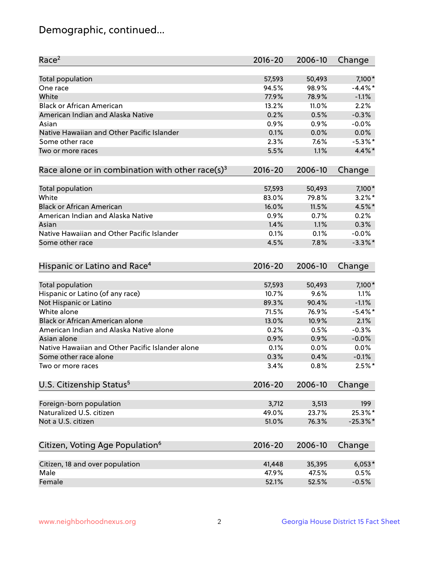## Demographic, continued...

| Race <sup>2</sup>                                            | $2016 - 20$    | 2006-10 | Change        |
|--------------------------------------------------------------|----------------|---------|---------------|
| <b>Total population</b>                                      | 57,593         | 50,493  | 7,100*        |
| One race                                                     | 94.5%          | 98.9%   | $-4.4\%$ *    |
| White                                                        | 77.9%          | 78.9%   | $-1.1%$       |
| <b>Black or African American</b>                             | 13.2%          | 11.0%   | 2.2%          |
| American Indian and Alaska Native                            | 0.2%           | 0.5%    | $-0.3%$       |
| Asian                                                        | 0.9%           | 0.9%    | $-0.0%$       |
| Native Hawaiian and Other Pacific Islander                   | 0.1%           | 0.0%    | 0.0%          |
| Some other race                                              | 2.3%           | 7.6%    | $-5.3%$ *     |
| Two or more races                                            | 5.5%           | 1.1%    | 4.4%*         |
| Race alone or in combination with other race(s) <sup>3</sup> | $2016 - 20$    | 2006-10 | Change        |
| Total population                                             | 57,593         | 50,493  | $7,100*$      |
| White                                                        | 83.0%          | 79.8%   | $3.2\%$ *     |
| <b>Black or African American</b>                             | 16.0%          | 11.5%   | 4.5%*         |
| American Indian and Alaska Native                            | 0.9%           | 0.7%    | 0.2%          |
| Asian                                                        | 1.4%           | 1.1%    | 0.3%          |
| Native Hawaiian and Other Pacific Islander                   | 0.1%           | 0.1%    | $-0.0%$       |
| Some other race                                              | 4.5%           | 7.8%    | $-3.3\%$ *    |
| Hispanic or Latino and Race <sup>4</sup>                     | $2016 - 20$    | 2006-10 | Change        |
| Total population                                             | 57,593         | 50,493  | 7,100*        |
| Hispanic or Latino (of any race)                             | 10.7%          | 9.6%    | 1.1%          |
| Not Hispanic or Latino                                       | 89.3%          | 90.4%   | $-1.1%$       |
| White alone                                                  | 71.5%          | 76.9%   | $-5.4\%$ *    |
| Black or African American alone                              | 13.0%          | 10.9%   | 2.1%          |
| American Indian and Alaska Native alone                      | 0.2%           | 0.5%    | $-0.3%$       |
| Asian alone                                                  | 0.9%           | 0.9%    | $-0.0%$       |
| Native Hawaiian and Other Pacific Islander alone             | 0.1%           | 0.0%    | 0.0%          |
| Some other race alone                                        | 0.3%           | 0.4%    | $-0.1%$       |
| Two or more races                                            | 3.4%           | 0.8%    | $2.5%$ *      |
| U.S. Citizenship Status <sup>5</sup>                         | $2016 - 20$    | 2006-10 | Change        |
|                                                              |                |         |               |
| Foreign-born population<br>Naturalized U.S. citizen          | 3,712          | 3,513   | 199<br>25.3%* |
| Not a U.S. citizen                                           | 49.0%<br>51.0% | 23.7%   |               |
|                                                              |                | 76.3%   | $-25.3%$      |
| Citizen, Voting Age Population <sup>6</sup>                  | $2016 - 20$    | 2006-10 | Change        |
| Citizen, 18 and over population                              | 41,448         | 35,395  | $6,053*$      |
| Male                                                         | 47.9%          | 47.5%   | 0.5%          |
| Female                                                       | 52.1%          | 52.5%   | $-0.5%$       |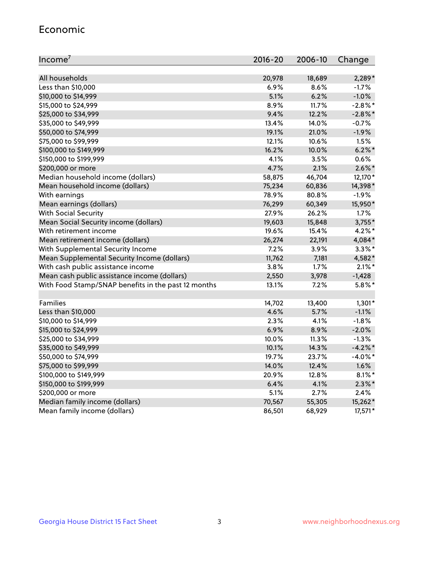#### Economic

| Income <sup>7</sup>                                 | $2016 - 20$ | 2006-10 | Change     |
|-----------------------------------------------------|-------------|---------|------------|
|                                                     |             |         |            |
| All households                                      | 20,978      | 18,689  | 2,289*     |
| Less than \$10,000                                  | 6.9%        | 8.6%    | $-1.7%$    |
| \$10,000 to \$14,999                                | 5.1%        | 6.2%    | $-1.0%$    |
| \$15,000 to \$24,999                                | 8.9%        | 11.7%   | $-2.8\%$ * |
| \$25,000 to \$34,999                                | 9.4%        | 12.2%   | $-2.8\%$ * |
| \$35,000 to \$49,999                                | 13.4%       | 14.0%   | $-0.7%$    |
| \$50,000 to \$74,999                                | 19.1%       | 21.0%   | $-1.9%$    |
| \$75,000 to \$99,999                                | 12.1%       | 10.6%   | 1.5%       |
| \$100,000 to \$149,999                              | 16.2%       | 10.0%   | $6.2\%$ *  |
| \$150,000 to \$199,999                              | 4.1%        | 3.5%    | 0.6%       |
| \$200,000 or more                                   | 4.7%        | 2.1%    | $2.6\%$ *  |
| Median household income (dollars)                   | 58,875      | 46,704  | 12,170*    |
| Mean household income (dollars)                     | 75,234      | 60,836  | 14,398*    |
| With earnings                                       | 78.9%       | 80.8%   | $-1.9%$    |
| Mean earnings (dollars)                             | 76,299      | 60,349  | 15,950*    |
| <b>With Social Security</b>                         | 27.9%       | 26.2%   | 1.7%       |
| Mean Social Security income (dollars)               | 19,603      | 15,848  | $3,755*$   |
| With retirement income                              | 19.6%       | 15.4%   | $4.2\%$ *  |
| Mean retirement income (dollars)                    | 26,274      | 22,191  | 4,084*     |
| With Supplemental Security Income                   | $7.2\%$     | 3.9%    | $3.3\%$ *  |
| Mean Supplemental Security Income (dollars)         | 11,762      | 7,181   | 4,582*     |
| With cash public assistance income                  | 3.8%        | 1.7%    | $2.1\%$ *  |
| Mean cash public assistance income (dollars)        | 2,550       | 3,978   | $-1,428$   |
| With Food Stamp/SNAP benefits in the past 12 months | 13.1%       | 7.2%    | $5.8\%$ *  |
|                                                     |             |         |            |
| Families                                            | 14,702      | 13,400  | $1,301*$   |
| Less than \$10,000                                  | 4.6%        | 5.7%    | $-1.1%$    |
| \$10,000 to \$14,999                                | 2.3%        | 4.1%    | $-1.8%$    |
| \$15,000 to \$24,999                                | 6.9%        | 8.9%    | $-2.0%$    |
| \$25,000 to \$34,999                                | 10.0%       | 11.3%   | $-1.3%$    |
| \$35,000 to \$49,999                                | 10.1%       | 14.3%   | $-4.2\%$ * |
| \$50,000 to \$74,999                                | 19.7%       | 23.7%   | $-4.0\%$ * |
| \$75,000 to \$99,999                                | 14.0%       | 12.4%   | 1.6%       |
| \$100,000 to \$149,999                              | 20.9%       | 12.8%   | $8.1\%$ *  |
| \$150,000 to \$199,999                              | 6.4%        | 4.1%    | $2.3\%$ *  |
| \$200,000 or more                                   | 5.1%        | 2.7%    | 2.4%       |
| Median family income (dollars)                      | 70,567      | 55,305  | 15,262*    |
| Mean family income (dollars)                        | 86,501      | 68,929  | 17,571*    |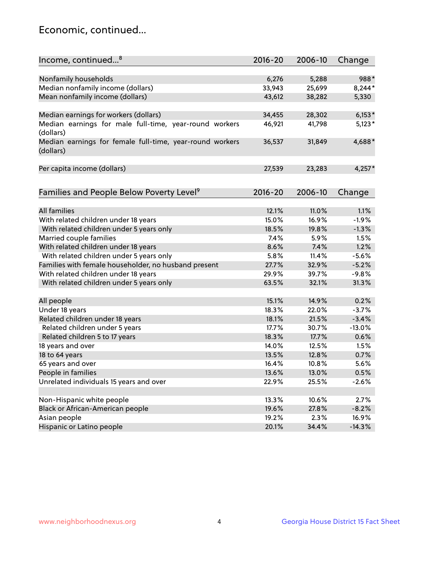## Economic, continued...

| Income, continued <sup>8</sup>                                        | $2016 - 20$ | 2006-10 | Change   |
|-----------------------------------------------------------------------|-------------|---------|----------|
|                                                                       |             |         |          |
| Nonfamily households                                                  | 6,276       | 5,288   | 988*     |
| Median nonfamily income (dollars)                                     | 33,943      | 25,699  | $8,244*$ |
| Mean nonfamily income (dollars)                                       | 43,612      | 38,282  | 5,330    |
| Median earnings for workers (dollars)                                 | 34,455      | 28,302  | $6,153*$ |
| Median earnings for male full-time, year-round workers                | 46,921      | 41,798  | $5,123*$ |
| (dollars)                                                             |             |         |          |
| Median earnings for female full-time, year-round workers<br>(dollars) | 36,537      | 31,849  | 4,688*   |
| Per capita income (dollars)                                           | 27,539      | 23,283  | $4,257*$ |
|                                                                       |             |         |          |
| Families and People Below Poverty Level <sup>9</sup>                  | $2016 - 20$ | 2006-10 | Change   |
| <b>All families</b>                                                   |             |         |          |
|                                                                       | 12.1%       | 11.0%   | 1.1%     |
| With related children under 18 years                                  | 15.0%       | 16.9%   | $-1.9%$  |
| With related children under 5 years only                              | 18.5%       | 19.8%   | $-1.3%$  |
| Married couple families                                               | 7.4%        | 5.9%    | 1.5%     |
| With related children under 18 years                                  | 8.6%        | 7.4%    | 1.2%     |
| With related children under 5 years only                              | 5.8%        | 11.4%   | $-5.6%$  |
| Families with female householder, no husband present                  | 27.7%       | 32.9%   | $-5.2%$  |
| With related children under 18 years                                  | 29.9%       | 39.7%   | $-9.8%$  |
| With related children under 5 years only                              | 63.5%       | 32.1%   | 31.3%    |
| All people                                                            | 15.1%       | 14.9%   | 0.2%     |
| Under 18 years                                                        | 18.3%       | 22.0%   | $-3.7%$  |
| Related children under 18 years                                       | 18.1%       | 21.5%   | $-3.4%$  |
| Related children under 5 years                                        | 17.7%       | 30.7%   | $-13.0%$ |
| Related children 5 to 17 years                                        | 18.3%       | 17.7%   | 0.6%     |
| 18 years and over                                                     | 14.0%       | 12.5%   | 1.5%     |
| 18 to 64 years                                                        | 13.5%       | 12.8%   | 0.7%     |
| 65 years and over                                                     | 16.4%       | 10.8%   | 5.6%     |
| People in families                                                    | 13.6%       | 13.0%   | 0.5%     |
| Unrelated individuals 15 years and over                               | 22.9%       | 25.5%   | $-2.6%$  |
|                                                                       |             |         |          |
| Non-Hispanic white people                                             | 13.3%       | 10.6%   | 2.7%     |
| Black or African-American people                                      | 19.6%       | 27.8%   | $-8.2%$  |
| Asian people                                                          | 19.2%       | 2.3%    | 16.9%    |
| Hispanic or Latino people                                             | 20.1%       | 34.4%   | $-14.3%$ |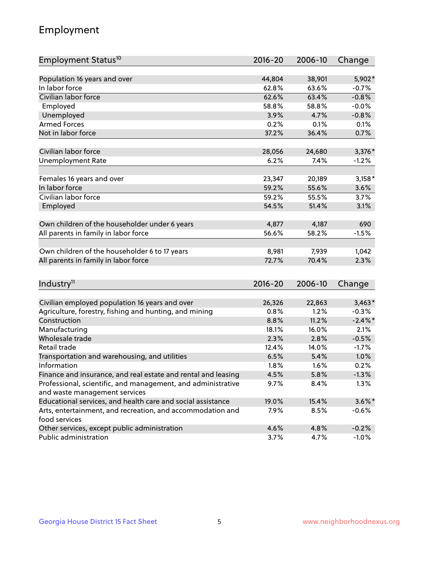## Employment

| Employment Status <sup>10</sup>                                                               | $2016 - 20$    | 2006-10        | Change          |
|-----------------------------------------------------------------------------------------------|----------------|----------------|-----------------|
|                                                                                               |                |                |                 |
| Population 16 years and over                                                                  | 44,804         | 38,901         | 5,902*          |
| In labor force                                                                                | 62.8%          | 63.6%          | $-0.7%$         |
| Civilian labor force                                                                          | 62.6%          | 63.4%          | $-0.8%$         |
| Employed                                                                                      | 58.8%          | 58.8%          | $-0.0%$         |
| Unemployed                                                                                    | 3.9%           | 4.7%           | $-0.8%$         |
| <b>Armed Forces</b>                                                                           | 0.2%           | 0.1%           | 0.1%            |
| Not in labor force                                                                            | 37.2%          | 36.4%          | 0.7%            |
|                                                                                               |                |                |                 |
| Civilian labor force                                                                          | 28,056         | 24,680         | 3,376 *         |
| <b>Unemployment Rate</b>                                                                      | 6.2%           | 7.4%           | $-1.2%$         |
| Females 16 years and over                                                                     | 23,347         | 20,189         | $3,158*$        |
| In labor force                                                                                | 59.2%          | 55.6%          | 3.6%            |
| Civilian labor force                                                                          | 59.2%          | 55.5%          | 3.7%            |
| Employed                                                                                      | 54.5%          | 51.4%          | 3.1%            |
|                                                                                               |                |                |                 |
| Own children of the householder under 6 years                                                 | 4,877          | 4,187          | 690             |
| All parents in family in labor force                                                          | 56.6%          | 58.2%          | $-1.5%$         |
|                                                                                               |                |                |                 |
| Own children of the householder 6 to 17 years                                                 | 8,981          | 7,939          | 1,042           |
| All parents in family in labor force                                                          | 72.7%          | 70.4%          | 2.3%            |
|                                                                                               |                |                |                 |
| Industry <sup>11</sup>                                                                        | $2016 - 20$    | 2006-10        | Change          |
|                                                                                               |                |                |                 |
| Civilian employed population 16 years and over                                                | 26,326<br>0.8% | 22,863<br>1.2% | $3,463*$        |
| Agriculture, forestry, fishing and hunting, and mining<br>Construction                        |                |                | $-0.3%$         |
|                                                                                               | 8.8%           | 11.2%          | $-2.4\%$ *      |
| Manufacturing<br>Wholesale trade                                                              | 18.1%<br>2.3%  | 16.0%<br>2.8%  | 2.1%<br>$-0.5%$ |
| Retail trade                                                                                  | 12.4%          | 14.0%          | $-1.7%$         |
|                                                                                               | 6.5%           | 5.4%           | 1.0%            |
| Transportation and warehousing, and utilities<br>Information                                  | 1.8%           | 1.6%           | 0.2%            |
| Finance and insurance, and real estate and rental and leasing                                 | 4.5%           | 5.8%           | $-1.3%$         |
|                                                                                               |                |                |                 |
| Professional, scientific, and management, and administrative<br>and waste management services | 9.7%           | 8.4%           | $1.3\%$         |
| Educational services, and health care and social assistance                                   | 19.0%          | 15.4%          | $3.6\%$ *       |
| Arts, entertainment, and recreation, and accommodation and                                    | 7.9%           | 8.5%           | $-0.6%$         |
| food services                                                                                 |                |                |                 |
| Other services, except public administration                                                  | 4.6%           | 4.8%           | $-0.2%$         |
| Public administration                                                                         | 3.7%           | 4.7%           | $-1.0%$         |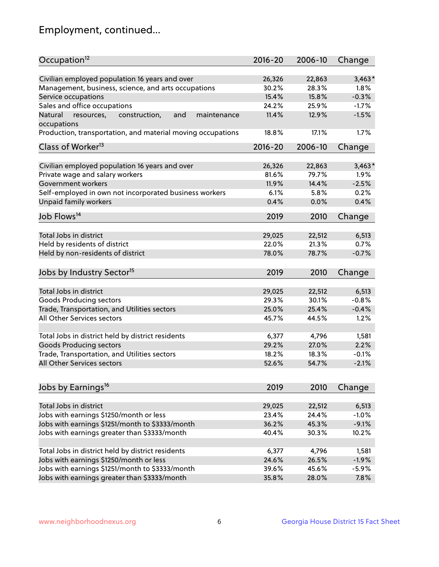## Employment, continued...

| Occupation <sup>12</sup>                                                    | $2016 - 20$     | 2006-10         | Change   |
|-----------------------------------------------------------------------------|-----------------|-----------------|----------|
| Civilian employed population 16 years and over                              |                 |                 | $3,463*$ |
|                                                                             | 26,326<br>30.2% | 22,863<br>28.3% | 1.8%     |
| Management, business, science, and arts occupations                         | 15.4%           | 15.8%           | $-0.3%$  |
| Service occupations                                                         |                 |                 |          |
| Sales and office occupations                                                | 24.2%           | 25.9%           | $-1.7%$  |
| Natural<br>and<br>resources,<br>construction,<br>maintenance<br>occupations | 11.4%           | 12.9%           | $-1.5%$  |
| Production, transportation, and material moving occupations                 | 18.8%           | 17.1%           | 1.7%     |
| Class of Worker <sup>13</sup>                                               | $2016 - 20$     | 2006-10         | Change   |
|                                                                             |                 |                 |          |
| Civilian employed population 16 years and over                              | 26,326          | 22,863          | $3,463*$ |
| Private wage and salary workers                                             | 81.6%           | 79.7%           | 1.9%     |
| Government workers                                                          | 11.9%           | 14.4%           | $-2.5%$  |
| Self-employed in own not incorporated business workers                      | 6.1%            | 5.8%            | 0.2%     |
| Unpaid family workers                                                       | 0.4%            | 0.0%            | 0.4%     |
| Job Flows <sup>14</sup>                                                     | 2019            | 2010            | Change   |
|                                                                             |                 |                 |          |
| Total Jobs in district                                                      | 29,025          | 22,512          | 6,513    |
| Held by residents of district                                               | 22.0%           | 21.3%           | 0.7%     |
| Held by non-residents of district                                           | 78.0%           | 78.7%           | $-0.7%$  |
|                                                                             |                 |                 |          |
| Jobs by Industry Sector <sup>15</sup>                                       | 2019            | 2010            | Change   |
| Total Jobs in district                                                      | 29,025          | 22,512          | 6,513    |
| Goods Producing sectors                                                     | 29.3%           | 30.1%           | $-0.8%$  |
| Trade, Transportation, and Utilities sectors                                | 25.0%           | 25.4%           | $-0.4%$  |
| All Other Services sectors                                                  | 45.7%           | 44.5%           | 1.2%     |
|                                                                             |                 |                 |          |
| Total Jobs in district held by district residents                           | 6,377           | 4,796           | 1,581    |
| <b>Goods Producing sectors</b>                                              | 29.2%           | 27.0%           | 2.2%     |
| Trade, Transportation, and Utilities sectors                                | 18.2%           | 18.3%           | $-0.1%$  |
| All Other Services sectors                                                  | 52.6%           | 54.7%           | $-2.1%$  |
|                                                                             |                 |                 |          |
| Jobs by Earnings <sup>16</sup>                                              | 2019            | 2010            | Change   |
|                                                                             |                 |                 |          |
| Total Jobs in district                                                      | 29,025          | 22,512          | 6,513    |
| Jobs with earnings \$1250/month or less                                     | 23.4%           | 24.4%           | $-1.0%$  |
| Jobs with earnings \$1251/month to \$3333/month                             | 36.2%           | 45.3%           | $-9.1%$  |
| Jobs with earnings greater than \$3333/month                                | 40.4%           | 30.3%           | 10.2%    |
|                                                                             |                 |                 |          |
| Total Jobs in district held by district residents                           | 6,377           | 4,796           | 1,581    |
| Jobs with earnings \$1250/month or less                                     | 24.6%           | 26.5%           | $-1.9%$  |
| Jobs with earnings \$1251/month to \$3333/month                             | 39.6%           | 45.6%           | $-5.9%$  |
| Jobs with earnings greater than \$3333/month                                | 35.8%           | 28.0%           | 7.8%     |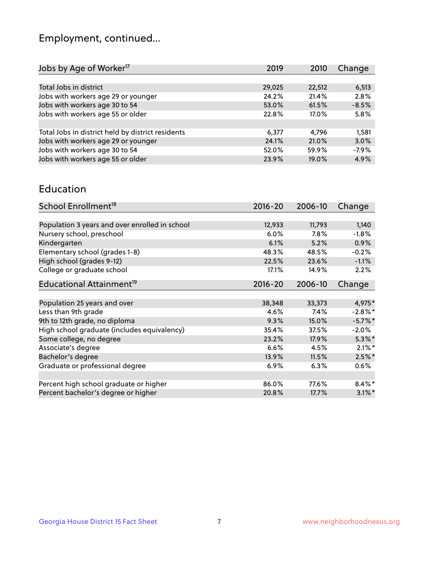## Employment, continued...

| Jobs by Age of Worker <sup>17</sup>               | 2019   | 2010   | Change  |
|---------------------------------------------------|--------|--------|---------|
|                                                   |        |        |         |
| Total Jobs in district                            | 29,025 | 22,512 | 6,513   |
| Jobs with workers age 29 or younger               | 24.2%  | 21.4%  | 2.8%    |
| Jobs with workers age 30 to 54                    | 53.0%  | 61.5%  | $-8.5%$ |
| Jobs with workers age 55 or older                 | 22.8%  | 17.0%  | 5.8%    |
|                                                   |        |        |         |
| Total Jobs in district held by district residents | 6,377  | 4.796  | 1,581   |
| Jobs with workers age 29 or younger               | 24.1%  | 21.0%  | 3.0%    |
| Jobs with workers age 30 to 54                    | 52.0%  | 59.9%  | $-7.9%$ |
| Jobs with workers age 55 or older                 | 23.9%  | 19.0%  | 4.9%    |
|                                                   |        |        |         |

#### Education

| School Enrollment <sup>18</sup>                | $2016 - 20$ | 2006-10 | Change     |
|------------------------------------------------|-------------|---------|------------|
|                                                |             |         |            |
| Population 3 years and over enrolled in school | 12,933      | 11,793  | 1,140      |
| Nursery school, preschool                      | $6.0\%$     | $7.8\%$ | $-1.8%$    |
| Kindergarten                                   | 6.1%        | 5.2%    | 0.9%       |
| Elementary school (grades 1-8)                 | 48.3%       | 48.5%   | $-0.2%$    |
| High school (grades 9-12)                      | 22.5%       | 23.6%   | $-1.1%$    |
| College or graduate school                     | 17.1%       | 14.9%   | 2.2%       |
| Educational Attainment <sup>19</sup>           | $2016 - 20$ | 2006-10 | Change     |
|                                                |             |         |            |
| Population 25 years and over                   | 38,348      | 33,373  | 4,975*     |
| Less than 9th grade                            | 4.6%        | $7.4\%$ | $-2.8\%$ * |
| 9th to 12th grade, no diploma                  | 9.3%        | 15.0%   | $-5.7\%$ * |
| High school graduate (includes equivalency)    | 35.4%       | 37.5%   | $-2.0\%$   |
| Some college, no degree                        | 23.2%       | 17.9%   | $5.3\%$ *  |
| Associate's degree                             | 6.6%        | 4.5%    | $2.1\%$ *  |
| Bachelor's degree                              | 13.9%       | 11.5%   | $2.5%$ *   |
| Graduate or professional degree                | 6.9%        | 6.3%    | $0.6\%$    |
|                                                |             |         |            |
| Percent high school graduate or higher         | 86.0%       | 77.6%   | $8.4\%$ *  |
| Percent bachelor's degree or higher            | 20.8%       | 17.7%   | $3.1\%$ *  |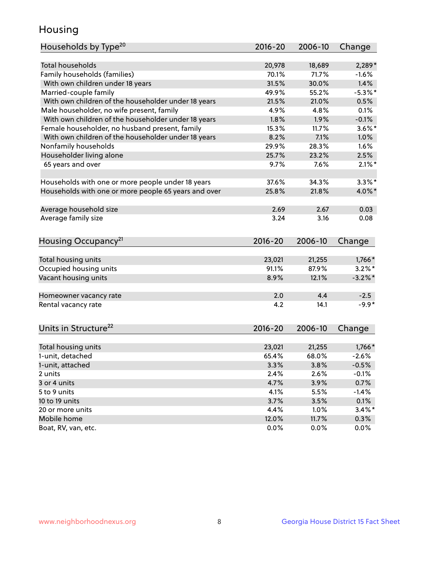## Housing

| Households by Type <sup>20</sup>                     | 2016-20     | 2006-10 | Change     |
|------------------------------------------------------|-------------|---------|------------|
|                                                      |             |         |            |
| <b>Total households</b>                              | 20,978      | 18,689  | $2,289*$   |
| Family households (families)                         | 70.1%       | 71.7%   | $-1.6%$    |
| With own children under 18 years                     | 31.5%       | 30.0%   | 1.4%       |
| Married-couple family                                | 49.9%       | 55.2%   | $-5.3%$ *  |
| With own children of the householder under 18 years  | 21.5%       | 21.0%   | 0.5%       |
| Male householder, no wife present, family            | 4.9%        | 4.8%    | 0.1%       |
| With own children of the householder under 18 years  | 1.8%        | 1.9%    | $-0.1%$    |
| Female householder, no husband present, family       | 15.3%       | 11.7%   | $3.6\%$ *  |
| With own children of the householder under 18 years  | 8.2%        | 7.1%    | 1.0%       |
| Nonfamily households                                 | 29.9%       | 28.3%   | 1.6%       |
| Householder living alone                             | 25.7%       | 23.2%   | 2.5%       |
| 65 years and over                                    | 9.7%        | 7.6%    | $2.1\%$ *  |
|                                                      |             |         |            |
| Households with one or more people under 18 years    | 37.6%       | 34.3%   | $3.3\%$ *  |
| Households with one or more people 65 years and over | 25.8%       | 21.8%   | 4.0%*      |
|                                                      |             |         |            |
| Average household size                               | 2.69        | 2.67    | 0.03       |
| Average family size                                  | 3.24        | 3.16    | 0.08       |
|                                                      |             |         |            |
| Housing Occupancy <sup>21</sup>                      | 2016-20     | 2006-10 | Change     |
|                                                      |             |         |            |
| Total housing units                                  | 23,021      | 21,255  | 1,766*     |
| Occupied housing units                               | 91.1%       | 87.9%   | $3.2\%$ *  |
| Vacant housing units                                 | 8.9%        | 12.1%   | $-3.2\%$ * |
|                                                      |             |         |            |
| Homeowner vacancy rate                               | 2.0         | 4.4     | $-2.5$     |
| Rental vacancy rate                                  | 4.2         | 14.1    | $-9.9*$    |
|                                                      |             |         |            |
| Units in Structure <sup>22</sup>                     | $2016 - 20$ | 2006-10 | Change     |
|                                                      |             |         |            |
| Total housing units                                  | 23,021      | 21,255  | $1,766*$   |
| 1-unit, detached                                     | 65.4%       | 68.0%   | $-2.6%$    |
| 1-unit, attached                                     | 3.3%        | 3.8%    | $-0.5%$    |
| 2 units                                              | 2.4%        | 2.6%    | $-0.1%$    |
| 3 or 4 units                                         | 4.7%        | 3.9%    | 0.7%       |
| 5 to 9 units                                         | 4.1%        | 5.5%    | $-1.4%$    |
|                                                      |             |         |            |
| 10 to 19 units                                       | 3.7%        | 3.5%    | 0.1%       |
| 20 or more units                                     | 4.4%        | 1.0%    | $3.4\%$ *  |
| Mobile home                                          | 12.0%       | 11.7%   | 0.3%       |
| Boat, RV, van, etc.                                  | 0.0%        | 0.0%    | 0.0%       |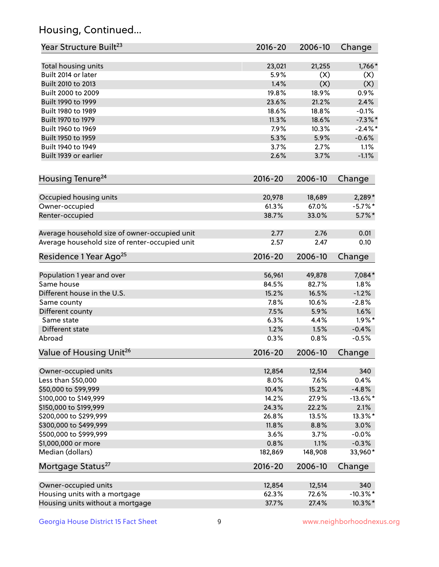## Housing, Continued...

| Year Structure Built <sup>23</sup>             | 2016-20     | 2006-10 | Change      |
|------------------------------------------------|-------------|---------|-------------|
| Total housing units                            | 23,021      | 21,255  | 1,766*      |
| Built 2014 or later                            | 5.9%        | (X)     | (X)         |
| Built 2010 to 2013                             | 1.4%        | (X)     | (X)         |
| Built 2000 to 2009                             | 19.8%       | 18.9%   | 0.9%        |
| Built 1990 to 1999                             | 23.6%       | 21.2%   | 2.4%        |
| Built 1980 to 1989                             | 18.6%       | 18.8%   | $-0.1%$     |
| Built 1970 to 1979                             | 11.3%       | 18.6%   | $-7.3%$     |
| Built 1960 to 1969                             | 7.9%        | 10.3%   | $-2.4\%$ *  |
| Built 1950 to 1959                             | 5.3%        | 5.9%    | $-0.6%$     |
| Built 1940 to 1949                             | 3.7%        | 2.7%    | 1.1%        |
| Built 1939 or earlier                          | 2.6%        | 3.7%    | $-1.1%$     |
|                                                |             |         |             |
| Housing Tenure <sup>24</sup>                   | $2016 - 20$ | 2006-10 | Change      |
| Occupied housing units                         | 20,978      | 18,689  | 2,289*      |
| Owner-occupied                                 | 61.3%       | 67.0%   | $-5.7\%$ *  |
| Renter-occupied                                | 38.7%       | 33.0%   | $5.7\%$ *   |
| Average household size of owner-occupied unit  | 2.77        | 2.76    | 0.01        |
| Average household size of renter-occupied unit | 2.57        | 2.47    | 0.10        |
| Residence 1 Year Ago <sup>25</sup>             | $2016 - 20$ | 2006-10 | Change      |
| Population 1 year and over                     | 56,961      | 49,878  | 7,084*      |
| Same house                                     | 84.5%       | 82.7%   | 1.8%        |
| Different house in the U.S.                    | 15.2%       | 16.5%   | $-1.2%$     |
| Same county                                    | 7.8%        | 10.6%   | $-2.8%$     |
| Different county                               | 7.5%        | 5.9%    | 1.6%        |
| Same state                                     | 6.3%        | 4.4%    | $1.9\%$ *   |
| Different state                                | 1.2%        | 1.5%    | $-0.4%$     |
| Abroad                                         | 0.3%        | 0.8%    | $-0.5%$     |
|                                                |             |         |             |
| Value of Housing Unit <sup>26</sup>            | $2016 - 20$ | 2006-10 | Change      |
| Owner-occupied units                           | 12,854      | 12,514  | 340         |
| Less than \$50,000                             | 8.0%        | 7.6%    | 0.4%        |
| \$50,000 to \$99,999                           | 10.4%       | 15.2%   | $-4.8%$     |
| \$100,000 to \$149,999                         | 14.2%       | 27.9%   | $-13.6\%$ * |
| \$150,000 to \$199,999                         | 24.3%       | 22.2%   | 2.1%        |
| \$200,000 to \$299,999                         | 26.8%       | 13.5%   | 13.3%*      |
| \$300,000 to \$499,999                         | 11.8%       | 8.8%    | 3.0%        |
| \$500,000 to \$999,999                         | 3.6%        | 3.7%    | $-0.0%$     |
| \$1,000,000 or more                            | 0.8%        | 1.1%    | $-0.3%$     |
| Median (dollars)                               | 182,869     | 148,908 | 33,960*     |
| Mortgage Status <sup>27</sup>                  | $2016 - 20$ | 2006-10 | Change      |
| Owner-occupied units                           | 12,854      | 12,514  | 340         |
| Housing units with a mortgage                  | 62.3%       | 72.6%   | $-10.3\%$ * |
| Housing units without a mortgage               | 37.7%       | 27.4%   | $10.3\%$ *  |
|                                                |             |         |             |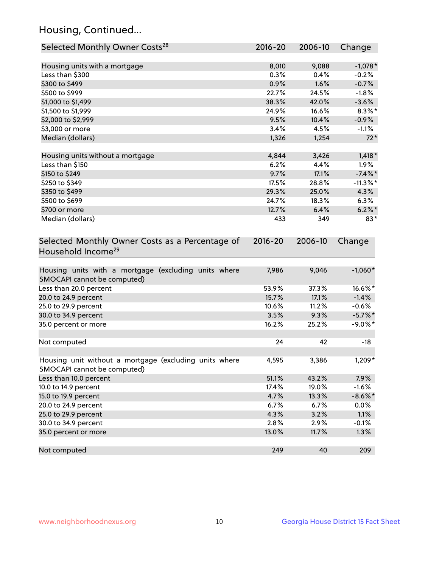## Housing, Continued...

| Selected Monthly Owner Costs <sup>28</sup>                                            | 2016-20 | 2006-10 | Change      |
|---------------------------------------------------------------------------------------|---------|---------|-------------|
| Housing units with a mortgage                                                         | 8,010   | 9,088   | $-1,078*$   |
| Less than \$300                                                                       | 0.3%    | 0.4%    | $-0.2%$     |
| \$300 to \$499                                                                        | 0.9%    | 1.6%    | $-0.7%$     |
| \$500 to \$999                                                                        | 22.7%   | 24.5%   | $-1.8%$     |
| \$1,000 to \$1,499                                                                    | 38.3%   | 42.0%   | $-3.6%$     |
| \$1,500 to \$1,999                                                                    | 24.9%   | 16.6%   | $8.3\%$ *   |
| \$2,000 to \$2,999                                                                    | 9.5%    | 10.4%   | $-0.9%$     |
| \$3,000 or more                                                                       | 3.4%    | 4.5%    | $-1.1%$     |
| Median (dollars)                                                                      | 1,326   | 1,254   | $72*$       |
| Housing units without a mortgage                                                      | 4,844   | 3,426   | $1,418*$    |
| Less than \$150                                                                       | 6.2%    | 4.4%    | 1.9%        |
| \$150 to \$249                                                                        | 9.7%    | 17.1%   | $-7.4\%$ *  |
| \$250 to \$349                                                                        | 17.5%   | 28.8%   | $-11.3\%$ * |
| \$350 to \$499                                                                        | 29.3%   | 25.0%   | 4.3%        |
| \$500 to \$699                                                                        | 24.7%   | 18.3%   | 6.3%        |
| \$700 or more                                                                         | 12.7%   | 6.4%    | $6.2\%$ *   |
| Median (dollars)                                                                      | 433     | 349     | $83*$       |
| Household Income <sup>29</sup>                                                        |         |         |             |
| Housing units with a mortgage (excluding units where<br>SMOCAPI cannot be computed)   | 7,986   | 9,046   | $-1,060*$   |
| Less than 20.0 percent                                                                | 53.9%   | 37.3%   | 16.6%*      |
| 20.0 to 24.9 percent                                                                  | 15.7%   | 17.1%   | $-1.4%$     |
| 25.0 to 29.9 percent                                                                  | 10.6%   | 11.2%   | $-0.6%$     |
| 30.0 to 34.9 percent                                                                  | 3.5%    | 9.3%    | $-5.7\%$ *  |
| 35.0 percent or more                                                                  | 16.2%   | 25.2%   | $-9.0\%$ *  |
| Not computed                                                                          | 24      | 42      | $-18$       |
| Housing unit without a mortgage (excluding units where<br>SMOCAPI cannot be computed) | 4,595   | 3,386   | 1,209*      |
| Less than 10.0 percent                                                                | 51.1%   | 43.2%   | 7.9%        |
| 10.0 to 14.9 percent                                                                  | 17.4%   | 19.0%   | $-1.6%$     |
| 15.0 to 19.9 percent                                                                  | 4.7%    | 13.3%   | $-8.6\%$ *  |
| 20.0 to 24.9 percent                                                                  | 6.7%    | 6.7%    | 0.0%        |
| 25.0 to 29.9 percent                                                                  | 4.3%    | 3.2%    | 1.1%        |
| 30.0 to 34.9 percent                                                                  | 2.8%    | 2.9%    | $-0.1%$     |
| 35.0 percent or more                                                                  | 13.0%   | 11.7%   | 1.3%        |
| Not computed                                                                          | 249     | 40      | 209         |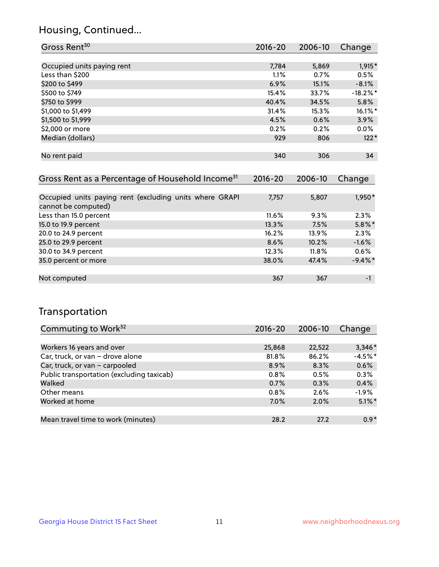## Housing, Continued...

| Gross Rent <sup>30</sup>                                     | 2016-20     | 2006-10 | Change      |
|--------------------------------------------------------------|-------------|---------|-------------|
|                                                              |             |         |             |
| Occupied units paying rent                                   | 7,784       | 5,869   | $1,915*$    |
| Less than \$200                                              | $1.1\%$     | 0.7%    | 0.5%        |
| \$200 to \$499                                               | 6.9%        | 15.1%   | $-8.1%$     |
| \$500 to \$749                                               | 15.4%       | 33.7%   | $-18.2\%$ * |
| \$750 to \$999                                               | 40.4%       | 34.5%   | 5.8%        |
| \$1,000 to \$1,499                                           | 31.4%       | 15.3%   | $16.1\%$ *  |
| \$1,500 to \$1,999                                           | 4.5%        | 0.6%    | $3.9\%$     |
| \$2,000 or more                                              | 0.2%        | 0.2%    | $0.0\%$     |
| Median (dollars)                                             | 929         | 806     | $122*$      |
|                                                              |             |         |             |
| No rent paid                                                 | 340         | 306     | 34          |
|                                                              |             |         |             |
| Gross Rent as a Percentage of Household Income <sup>31</sup> | $2016 - 20$ | 2006-10 | Change      |
|                                                              |             |         |             |
| Occupied units paying rent (excluding units where GRAPI      | 7,757       | 5,807   | 1,950*      |

| cannot be computed)    |          |       |            |
|------------------------|----------|-------|------------|
| Less than 15.0 percent | $11.6\%$ | 9.3%  | 2.3%       |
| 15.0 to 19.9 percent   | 13.3%    | 7.5%  | $5.8\%$ *  |
| 20.0 to 24.9 percent   | 16.2%    | 13.9% | 2.3%       |
| 25.0 to 29.9 percent   | 8.6%     | 10.2% | $-1.6%$    |
| 30.0 to 34.9 percent   | 12.3%    | 11.8% | 0.6%       |
| 35.0 percent or more   | 38.0%    | 47.4% | $-9.4\%$ * |
|                        |          |       |            |
| Not computed           | 367      | 367   | $-1$       |

## Transportation

| Commuting to Work <sup>32</sup>           | 2016-20 | 2006-10 | Change    |
|-------------------------------------------|---------|---------|-----------|
|                                           |         |         |           |
| Workers 16 years and over                 | 25,868  | 22,522  | $3,346*$  |
| Car, truck, or van - drove alone          | 81.8%   | 86.2%   | $-4.5%$ * |
| Car, truck, or van - carpooled            | 8.9%    | 8.3%    | 0.6%      |
| Public transportation (excluding taxicab) | 0.8%    | 0.5%    | 0.3%      |
| Walked                                    | 0.7%    | 0.3%    | 0.4%      |
| Other means                               | 0.8%    | 2.6%    | $-1.9%$   |
| Worked at home                            | 7.0%    | 2.0%    | $5.1\%$ * |
|                                           |         |         |           |
| Mean travel time to work (minutes)        | 28.2    | 27.2    | $0.9*$    |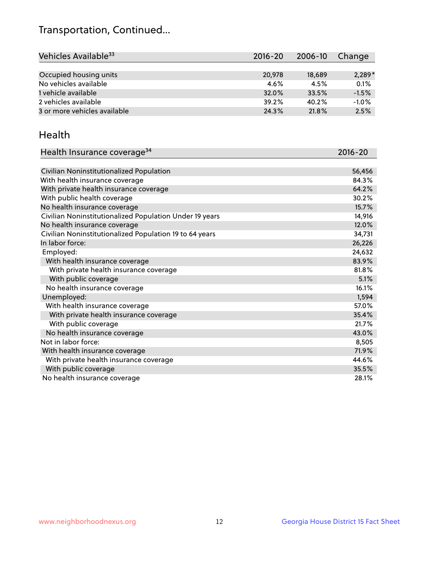## Transportation, Continued...

| Vehicles Available <sup>33</sup> | 2016-20 | 2006-10 | Change   |
|----------------------------------|---------|---------|----------|
|                                  |         |         |          |
| Occupied housing units           | 20,978  | 18,689  | $2,289*$ |
| No vehicles available            | $4.6\%$ | 4.5%    | 0.1%     |
| 1 vehicle available              | 32.0%   | 33.5%   | $-1.5%$  |
| 2 vehicles available             | 39.2%   | 40.2%   | $-1.0%$  |
| 3 or more vehicles available     | 24.3%   | 21.8%   | 2.5%     |

#### Health

| Health Insurance coverage <sup>34</sup>                 | 2016-20 |
|---------------------------------------------------------|---------|
|                                                         |         |
| Civilian Noninstitutionalized Population                | 56,456  |
| With health insurance coverage                          | 84.3%   |
| With private health insurance coverage                  | 64.2%   |
| With public health coverage                             | 30.2%   |
| No health insurance coverage                            | 15.7%   |
| Civilian Noninstitutionalized Population Under 19 years | 14,916  |
| No health insurance coverage                            | 12.0%   |
| Civilian Noninstitutionalized Population 19 to 64 years | 34,731  |
| In labor force:                                         | 26,226  |
| Employed:                                               | 24,632  |
| With health insurance coverage                          | 83.9%   |
| With private health insurance coverage                  | 81.8%   |
| With public coverage                                    | 5.1%    |
| No health insurance coverage                            | 16.1%   |
| Unemployed:                                             | 1,594   |
| With health insurance coverage                          | 57.0%   |
| With private health insurance coverage                  | 35.4%   |
| With public coverage                                    | 21.7%   |
| No health insurance coverage                            | 43.0%   |
| Not in labor force:                                     | 8,505   |
| With health insurance coverage                          | 71.9%   |
| With private health insurance coverage                  | 44.6%   |
| With public coverage                                    | 35.5%   |
| No health insurance coverage                            | 28.1%   |